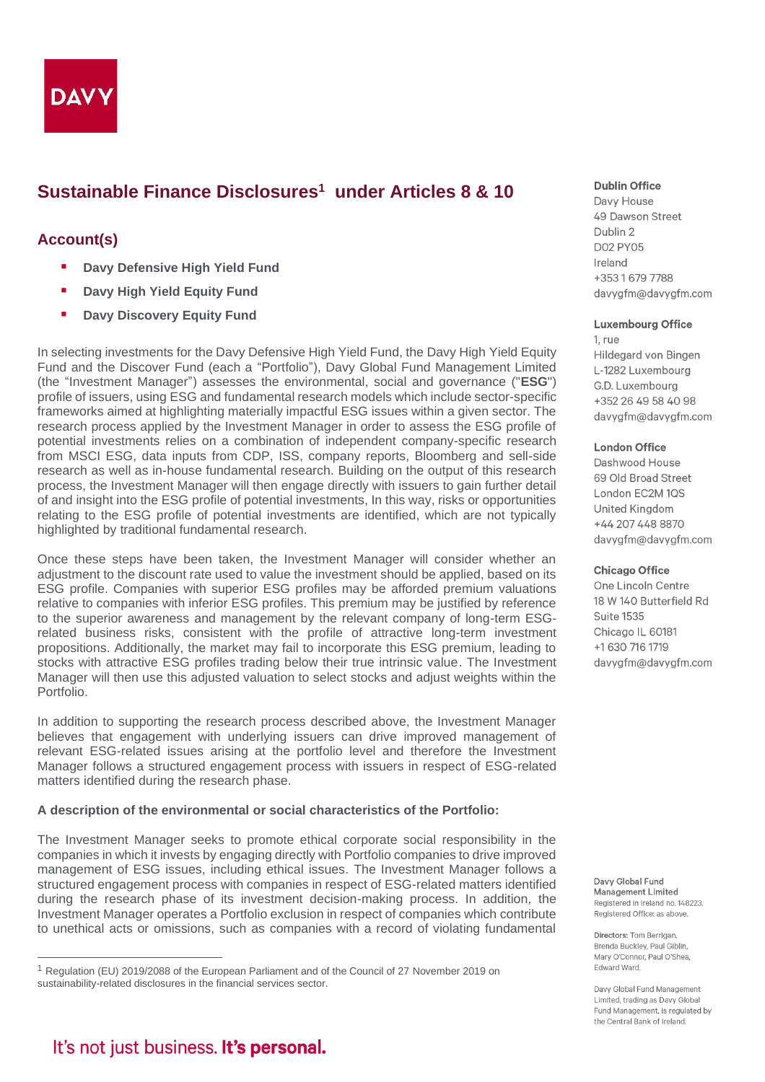

# **Sustainable Finance Disclosures<sup>1</sup> under Articles 8 & 10**

## **Account(s)**

- **Davy Defensive High Yield Fund**
- **Davy High Yield Equity Fund**
- **<b>■** Davy Discovery Equity Fund

In selecting investments for the Davy Defensive High Yield Fund, the Davy High Yield Equity Fund and the Discover Fund (each a "Portfolio"), Davy Global Fund Management Limited (the "Investment Manager") assesses the environmental, social and governance ("**ESG**") profile of issuers, using ESG and fundamental research models which include sector-specific frameworks aimed at highlighting materially impactful ESG issues within a given sector. The research process applied by the Investment Manager in order to assess the ESG profile of potential investments relies on a combination of independent company-specific research from MSCI ESG, data inputs from CDP, ISS, company reports, Bloomberg and sell-side research as well as in-house fundamental research. Building on the output of this research process, the Investment Manager will then engage directly with issuers to gain further detail of and insight into the ESG profile of potential investments, In this way, risks or opportunities relating to the ESG profile of potential investments are identified, which are not typically highlighted by traditional fundamental research.

Once these steps have been taken, the Investment Manager will consider whether an adjustment to the discount rate used to value the investment should be applied, based on its ESG profile. Companies with superior ESG profiles may be afforded premium valuations relative to companies with inferior ESG profiles. This premium may be justified by reference to the superior awareness and management by the relevant company of long-term ESGrelated business risks, consistent with the profile of attractive long-term investment propositions. Additionally, the market may fail to incorporate this ESG premium, leading to stocks with attractive ESG profiles trading below their true intrinsic value. The Investment Manager will then use this adjusted valuation to select stocks and adjust weights within the Portfolio.

In addition to supporting the research process described above, the Investment Manager believes that engagement with underlying issuers can drive improved management of relevant ESG-related issues arising at the portfolio level and therefore the Investment Manager follows a structured engagement process with issuers in respect of ESG-related matters identified during the research phase.

## **A description of the environmental or social characteristics of the Portfolio:**

The Investment Manager seeks to promote ethical corporate social responsibility in the companies in which it invests by engaging directly with Portfolio companies to drive improved management of ESG issues, including ethical issues. The Investment Manager follows a structured engagement process with companies in respect of ESG-related matters identified during the research phase of its investment decision-making process. In addition, the Investment Manager operates a Portfolio exclusion in respect of companies which contribute to unethical acts or omissions, such as companies with a record of violating fundamental

## **Dublin Office**

Davy House 49 Dawson Street Dublin 2 **D02 PY05** Ireland +35316797788 davygfm@davygfm.com

#### **Luxembourg Office**

 $1<sub>ri</sub>$ Hildegard von Bingen L-1282 Luxembourg G.D. Luxembourg +352 26 49 58 40 98 davygfm@davygfm.com

#### **London Office**

Dashwood House 69 Old Broad Street London EC2M 1QS United Kingdom +44 207 448 8870 davygfm@davygfm.com

#### **Chicago Office**

One Lincoln Centre 18 W 140 Butterfield Rd **Suite 1535** Chicago IL 60181 +1 630 716 1719 davygfm@davygfm.com

Davy Global Fund Management Limited Registered in Ireland no. 148223. Registered Office: as above.

Directors: Tom Berrigan, Brenda Buckley, Paul Giblin, Mary O'Connor, Paul O'Shea, Edward Ward.

Davy Global Fund Management Limited, trading as Davy Global Fund Management, is regulated by the Central Bank of Ireland.

<sup>1</sup> Regulation (EU) 2019/2088 of the European Parliament and of the Council of 27 November 2019 on sustainability-related disclosures in the financial services sector.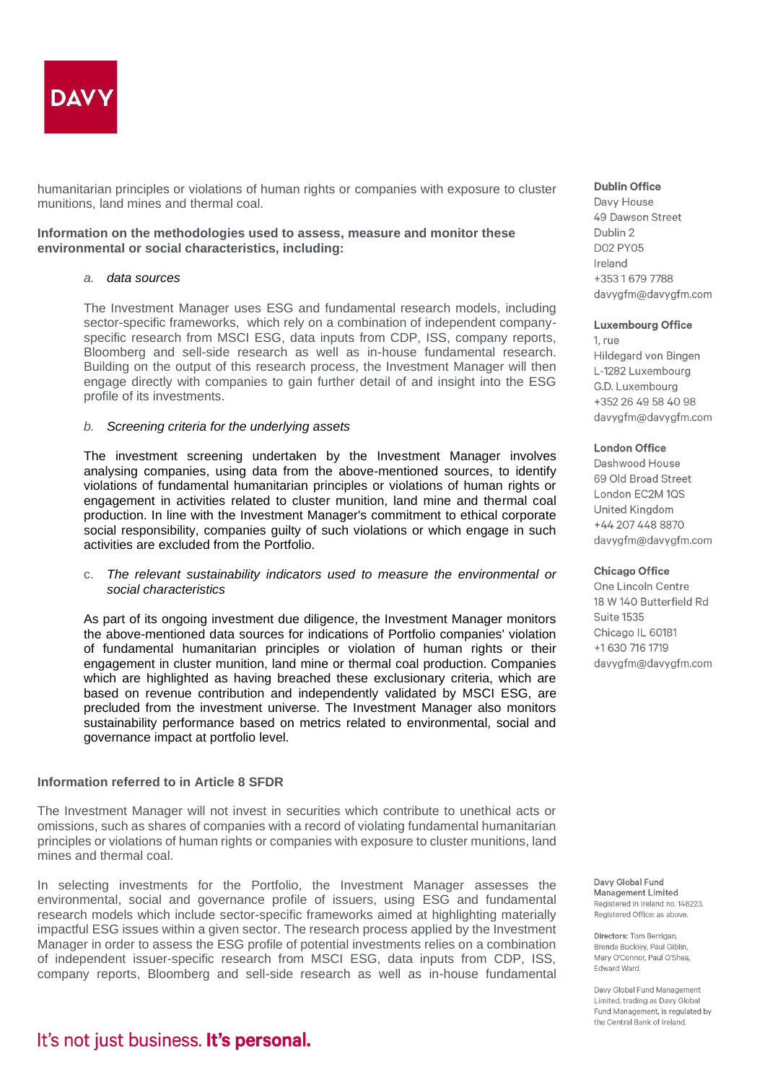

humanitarian principles or violations of human rights or companies with exposure to cluster munitions, land mines and thermal coal.

## **Information on the methodologies used to assess, measure and monitor these environmental or social characteristics, including:**

## *a. data sources*

The Investment Manager uses ESG and fundamental research models, including sector-specific frameworks, which rely on a combination of independent companyspecific research from MSCI ESG, data inputs from CDP, ISS, company reports, Bloomberg and sell-side research as well as in-house fundamental research. Building on the output of this research process, the Investment Manager will then engage directly with companies to gain further detail of and insight into the ESG profile of its investments.

## *b. Screening criteria for the underlying assets*

The investment screening undertaken by the Investment Manager involves analysing companies, using data from the above-mentioned sources, to identify violations of fundamental humanitarian principles or violations of human rights or engagement in activities related to cluster munition, land mine and thermal coal production. In line with the Investment Manager's commitment to ethical corporate social responsibility, companies guilty of such violations or which engage in such activities are excluded from the Portfolio.

## c. *The relevant sustainability indicators used to measure the environmental or social characteristics*

As part of its ongoing investment due diligence, the Investment Manager monitors the above-mentioned data sources for indications of Portfolio companies' violation of fundamental humanitarian principles or violation of human rights or their engagement in cluster munition, land mine or thermal coal production. Companies which are highlighted as having breached these exclusionary criteria, which are based on revenue contribution and independently validated by MSCI ESG, are precluded from the investment universe. The Investment Manager also monitors sustainability performance based on metrics related to environmental, social and governance impact at portfolio level.

## **Information referred to in Article 8 SFDR**

The Investment Manager will not invest in securities which contribute to unethical acts or omissions, such as shares of companies with a record of violating fundamental humanitarian principles or violations of human rights or companies with exposure to cluster munitions, land mines and thermal coal.

In selecting investments for the Portfolio, the Investment Manager assesses the environmental, social and governance profile of issuers, using ESG and fundamental research models which include sector-specific frameworks aimed at highlighting materially impactful ESG issues within a given sector. The research process applied by the Investment Manager in order to assess the ESG profile of potential investments relies on a combination of independent issuer-specific research from MSCI ESG, data inputs from CDP, ISS, company reports, Bloomberg and sell-side research as well as in-house fundamental

#### Dublin Office

Davy House 49 Dawson Street Dublin 2 **D02 PY05** Ireland +35316797788 davygfm@davygfm.com

#### **Luxembourg Office**

1. rue Hildegard von Bingen L-1282 Luxembourg G.D. Luxembourg +352 26 49 58 40 98 davygfm@davygfm.com

### **London Office**

Dashwood House 69 Old Broad Street London EC2M 1QS United Kingdom +44 207 448 8870 davygfm@davygfm.com

#### **Chicago Office**

One Lincoln Centre 18 W 140 Butterfield Rd **Suite 1535** Chicago IL 60181 +1 630 716 1719 davygfm@davygfm.com

Davy Global Fund Management Limited Registered in Ireland no. 148223. Registered Office: as above.

Directors: Tom Berrigan. Brenda Buckley, Paul Giblin, Mary O'Connor, Paul O'Shea. Edward Ward.

Davy Global Fund Management Limited, trading as Davy Global Fund Management, is regulated by the Central Bank of Ireland.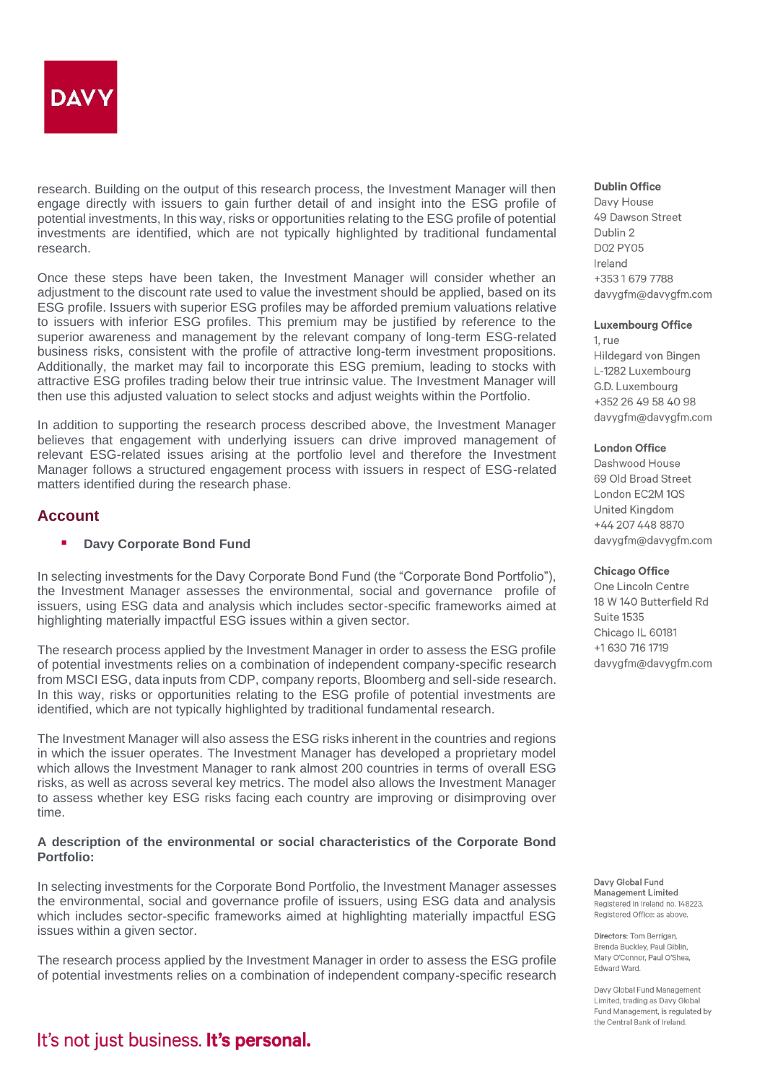

research. Building on the output of this research process, the Investment Manager will then engage directly with issuers to gain further detail of and insight into the ESG profile of potential investments, In this way, risks or opportunities relating to the ESG profile of potential investments are identified, which are not typically highlighted by traditional fundamental research.

Once these steps have been taken, the Investment Manager will consider whether an adjustment to the discount rate used to value the investment should be applied, based on its ESG profile. Issuers with superior ESG profiles may be afforded premium valuations relative to issuers with inferior ESG profiles. This premium may be justified by reference to the superior awareness and management by the relevant company of long-term ESG-related business risks, consistent with the profile of attractive long-term investment propositions. Additionally, the market may fail to incorporate this ESG premium, leading to stocks with attractive ESG profiles trading below their true intrinsic value. The Investment Manager will then use this adjusted valuation to select stocks and adjust weights within the Portfolio.

In addition to supporting the research process described above, the Investment Manager believes that engagement with underlying issuers can drive improved management of relevant ESG-related issues arising at the portfolio level and therefore the Investment Manager follows a structured engagement process with issuers in respect of ESG-related matters identified during the research phase.

## **Account**

## ▪ **Davy Corporate Bond Fund**

In selecting investments for the Davy Corporate Bond Fund (the "Corporate Bond Portfolio"), the Investment Manager assesses the environmental, social and governance profile of issuers, using ESG data and analysis which includes sector-specific frameworks aimed at highlighting materially impactful ESG issues within a given sector.

The research process applied by the Investment Manager in order to assess the ESG profile of potential investments relies on a combination of independent company-specific research from MSCI ESG, data inputs from CDP, company reports, Bloomberg and sell-side research. In this way, risks or opportunities relating to the ESG profile of potential investments are identified, which are not typically highlighted by traditional fundamental research.

The Investment Manager will also assess the ESG risks inherent in the countries and regions in which the issuer operates. The Investment Manager has developed a proprietary model which allows the Investment Manager to rank almost 200 countries in terms of overall ESG risks, as well as across several key metrics. The model also allows the Investment Manager to assess whether key ESG risks facing each country are improving or disimproving over time.

## **A description of the environmental or social characteristics of the Corporate Bond Portfolio:**

In selecting investments for the Corporate Bond Portfolio, the Investment Manager assesses the environmental, social and governance profile of issuers, using ESG data and analysis which includes sector-specific frameworks aimed at highlighting materially impactful ESG issues within a given sector.

The research process applied by the Investment Manager in order to assess the ESG profile of potential investments relies on a combination of independent company-specific research

### **Dublin Office**

Davy House 49 Dawson Street Dublin 2 **D02 PY05** Ireland +35316797788 davygfm@davygfm.com

#### **Luxembourg Office**

1. rue Hildegard von Bingen L-1282 Luxembourg G.D. Luxembourg +352 26 49 58 40 98 davygfm@davygfm.com

#### **London Office**

Dashwood House 69 Old Broad Street London EC2M 1QS United Kingdom +44 207 448 8870 davygfm@davygfm.com

#### **Chicago Office**

One Lincoln Centre 18 W 140 Butterfield Rd **Suite 1535** Chicago IL 60181 +1 630 716 1719 davygfm@davygfm.com

Davy Global Fund Management Limited Registered in Ireland no. 148223. Registered Office: as above.

Directors: Tom Berrigan. Brenda Buckley, Paul Giblin. Mary O'Connor, Paul O'Shea. Edward Ward.

Davy Global Fund Management Limited, trading as Davy Global Fund Management, is regulated by the Central Bank of Ireland.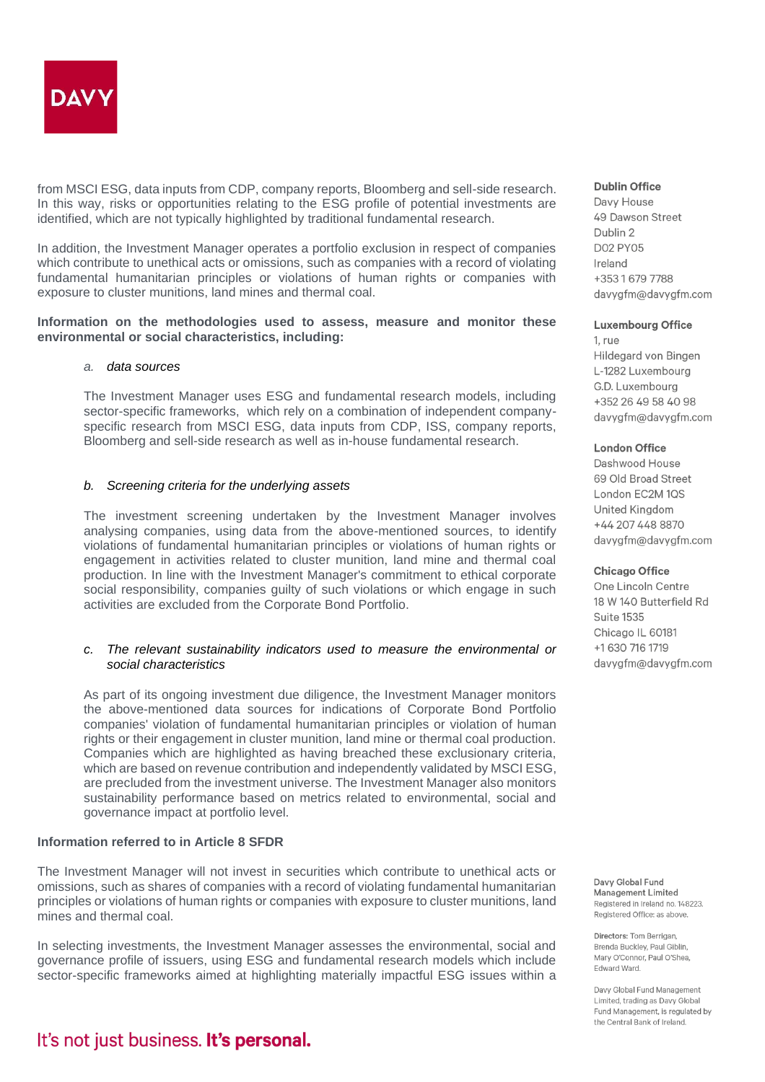

from MSCI ESG, data inputs from CDP, company reports, Bloomberg and sell-side research. In this way, risks or opportunities relating to the ESG profile of potential investments are identified, which are not typically highlighted by traditional fundamental research.

In addition, the Investment Manager operates a portfolio exclusion in respect of companies which contribute to unethical acts or omissions, such as companies with a record of violating fundamental humanitarian principles or violations of human rights or companies with exposure to cluster munitions, land mines and thermal coal.

## **Information on the methodologies used to assess, measure and monitor these environmental or social characteristics, including:**

## *a. data sources*

The Investment Manager uses ESG and fundamental research models, including sector-specific frameworks, which rely on a combination of independent companyspecific research from MSCI ESG, data inputs from CDP, ISS, company reports, Bloomberg and sell-side research as well as in-house fundamental research.

## *b. Screening criteria for the underlying assets*

The investment screening undertaken by the Investment Manager involves analysing companies, using data from the above-mentioned sources, to identify violations of fundamental humanitarian principles or violations of human rights or engagement in activities related to cluster munition, land mine and thermal coal production. In line with the Investment Manager's commitment to ethical corporate social responsibility, companies guilty of such violations or which engage in such activities are excluded from the Corporate Bond Portfolio.

## *c. The relevant sustainability indicators used to measure the environmental or social characteristics*

As part of its ongoing investment due diligence, the Investment Manager monitors the above-mentioned data sources for indications of Corporate Bond Portfolio companies' violation of fundamental humanitarian principles or violation of human rights or their engagement in cluster munition, land mine or thermal coal production. Companies which are highlighted as having breached these exclusionary criteria, which are based on revenue contribution and independently validated by MSCI ESG, are precluded from the investment universe. The Investment Manager also monitors sustainability performance based on metrics related to environmental, social and governance impact at portfolio level.

## **Information referred to in Article 8 SFDR**

The Investment Manager will not invest in securities which contribute to unethical acts or omissions, such as shares of companies with a record of violating fundamental humanitarian principles or violations of human rights or companies with exposure to cluster munitions, land mines and thermal coal.

In selecting investments, the Investment Manager assesses the environmental, social and governance profile of issuers, using ESG and fundamental research models which include sector-specific frameworks aimed at highlighting materially impactful ESG issues within a

## It's not just business. It's personal.

### **Dublin Office**

Davy House 49 Dawson Street Dublin 2 **D02 PY05** Ireland +35316797788 davygfm@davygfm.com

#### **Luxembourg Office**

1. rue Hildegard von Bingen L-1282 Luxembourg G.D. Luxembourg +352 26 49 58 40 98 davygfm@davygfm.com

### **London Office**

Dashwood House 69 Old Broad Street London EC2M 1QS United Kingdom +44 207 448 8870 davygfm@davygfm.com

#### **Chicago Office**

One Lincoln Centre 18 W 140 Butterfield Rd **Suite 1535** Chicago IL 60181 +1 630 716 1719 davygfm@davygfm.com

Davy Global Fund Management Limited Registered in Ireland no. 148223. Registered Office: as above.

Directors: Tom Berrigan. Brenda Buckley, Paul Giblin. Mary O'Connor, Paul O'Shea. Edward Ward.

Davy Global Fund Management Limited, trading as Davy Global Fund Management, is regulated by the Central Bank of Ireland.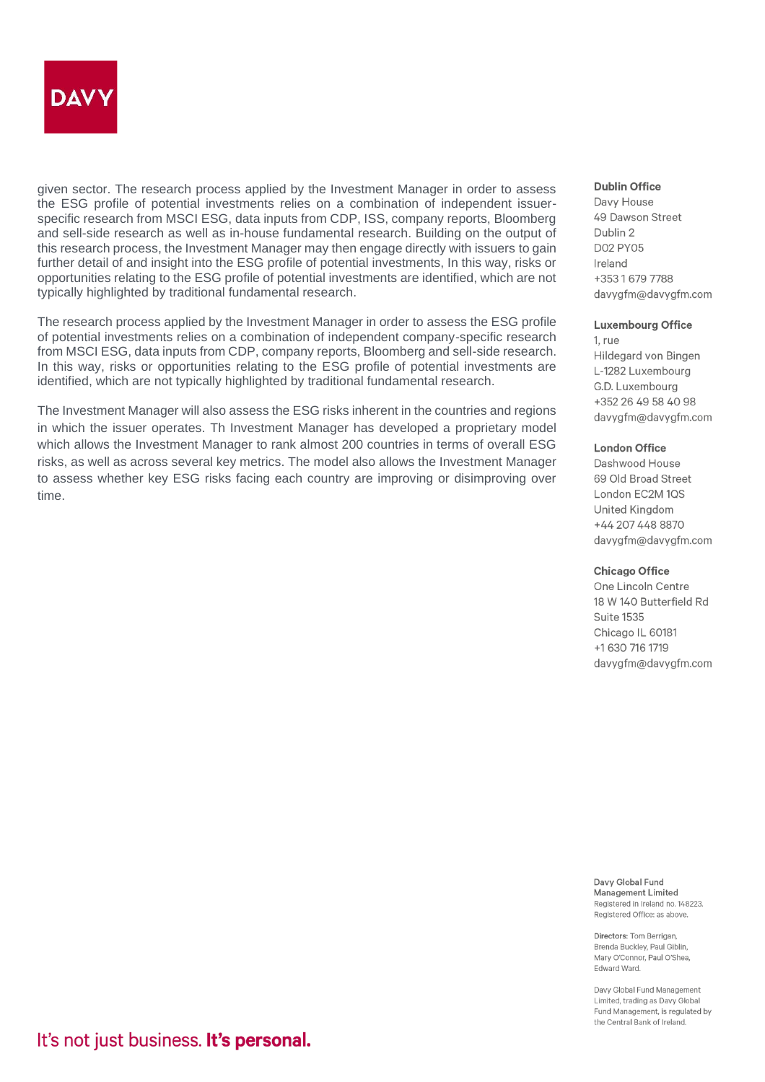

given sector. The research process applied by the Investment Manager in order to assess the ESG profile of potential investments relies on a combination of independent issuerspecific research from MSCI ESG, data inputs from CDP, ISS, company reports, Bloomberg and sell-side research as well as in-house fundamental research. Building on the output of this research process, the Investment Manager may then engage directly with issuers to gain further detail of and insight into the ESG profile of potential investments, In this way, risks or opportunities relating to the ESG profile of potential investments are identified, which are not typically highlighted by traditional fundamental research.

The research process applied by the Investment Manager in order to assess the ESG profile of potential investments relies on a combination of independent company-specific research from MSCI ESG, data inputs from CDP, company reports, Bloomberg and sell-side research. In this way, risks or opportunities relating to the ESG profile of potential investments are identified, which are not typically highlighted by traditional fundamental research.

The Investment Manager will also assess the ESG risks inherent in the countries and regions in which the issuer operates. Th Investment Manager has developed a proprietary model which allows the Investment Manager to rank almost 200 countries in terms of overall ESG risks, as well as across several key metrics. The model also allows the Investment Manager to assess whether key ESG risks facing each country are improving or disimproving over time.

#### Dublin Office

Davy House 49 Dawson Street Dublin 2 **D02 PY05** Ireland +35316797788 davygfm@davygfm.com

#### **Luxembourg Office**

1. rue Hildegard von Bingen L-1282 Luxembourg G.D. Luxembourg +352 26 49 58 40 98 davygfm@davygfm.com

### **London Office**

Dashwood House 69 Old Broad Street London EC2M 1QS **United Kingdom** +44 207 448 8870 davygfm@davygfm.com

#### **Chicago Office**

One Lincoln Centre 18 W 140 Butterfield Rd **Suite 1535** Chicago IL 60181 +1 630 716 1719 davygfm@davygfm.com

Davy Global Fund Management Limited Registered in Ireland no. 148223. Registered Office: as above.

Directors: Tom Berrigan. Brenda Buckley, Paul Giblin, Mary O'Connor, Paul O'Shea. Edward Ward.

Davy Global Fund Management Limited, trading as Davy Global Fund Management, is regulated by the Central Bank of Ireland.